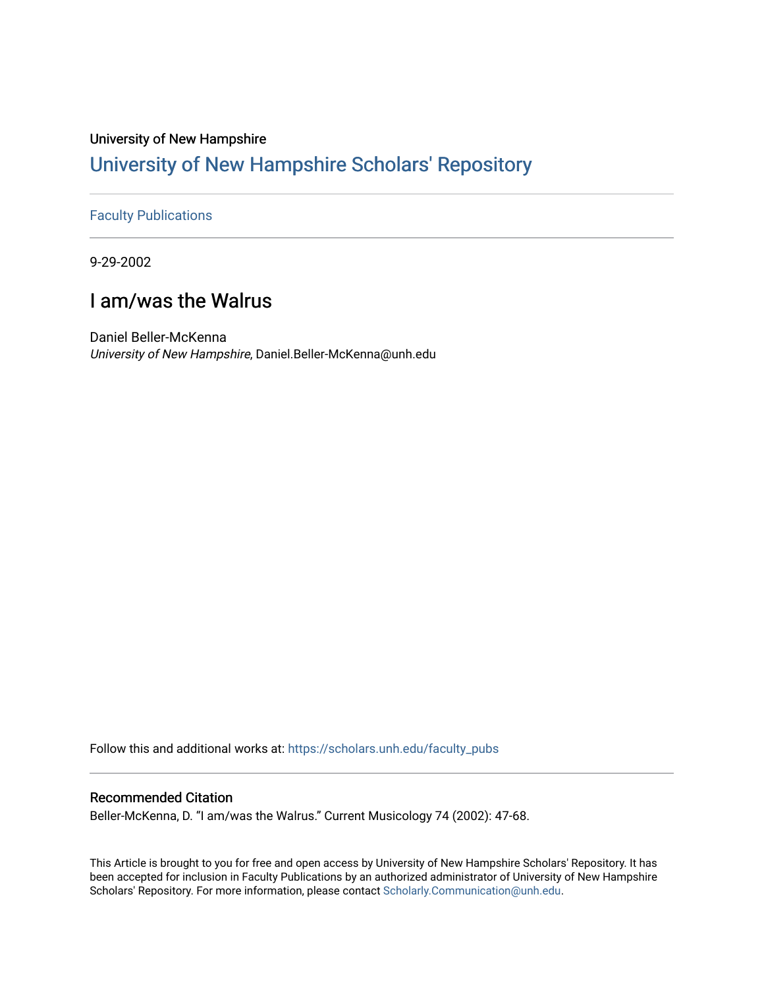# University of New Hampshire [University of New Hampshire Scholars' Repository](https://scholars.unh.edu/)

# [Faculty Publications](https://scholars.unh.edu/faculty_pubs)

9-29-2002

# I am/was the Walrus

Daniel Beller-McKenna University of New Hampshire, Daniel.Beller-McKenna@unh.edu

Follow this and additional works at: [https://scholars.unh.edu/faculty\\_pubs](https://scholars.unh.edu/faculty_pubs?utm_source=scholars.unh.edu%2Ffaculty_pubs%2F1226&utm_medium=PDF&utm_campaign=PDFCoverPages) 

## Recommended Citation

Beller-McKenna, D. "I am/was the Walrus." Current Musicology 74 (2002): 47-68.

This Article is brought to you for free and open access by University of New Hampshire Scholars' Repository. It has been accepted for inclusion in Faculty Publications by an authorized administrator of University of New Hampshire Scholars' Repository. For more information, please contact [Scholarly.Communication@unh.edu.](mailto:Scholarly.Communication@unh.edu)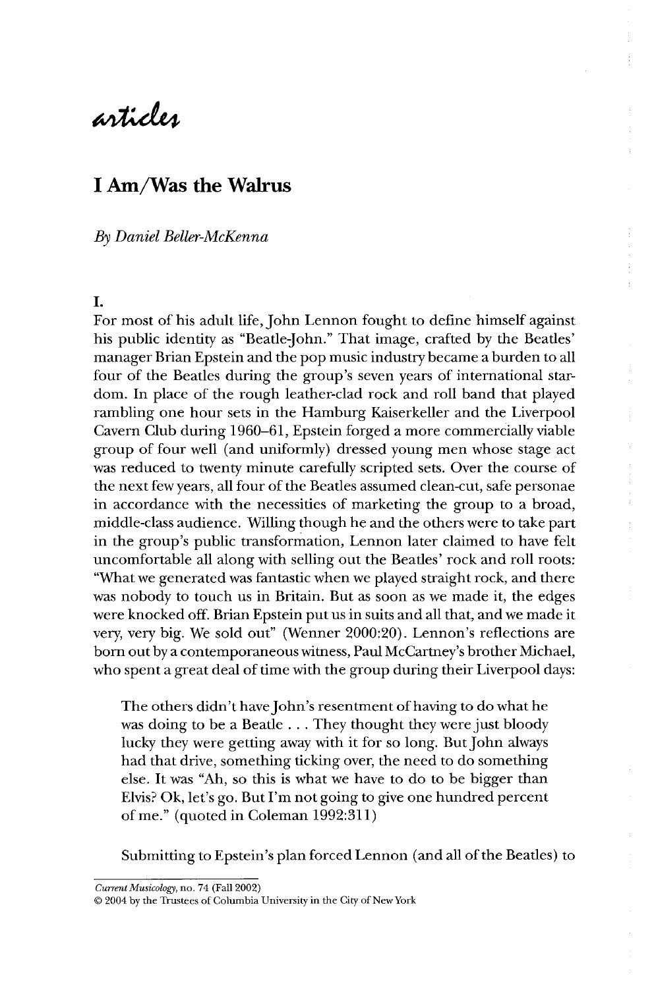articles

# **I Am/Was the Walrus**

#### *By Daniel Beller-McKenna*

#### **I.**

For most of his adult life, John Lennon fought to define himself against his public identity as "Beatle-John." That image, crafted by the Beatles' manager Brian Epstein and the pop music industry became a burden to all four of the Beatles during the group's seven years of international stardom. In place of the rough leather-clad rock and roll band that played rambling one hour sets in the Hamburg Kaiserkeller and the Liverpool Cavern Club during 1960-61, Epstein forged a more commercially viable group of four well (and uniformly) dressed young men whose stage act was reduced to twenty minute carefully scripted sets. Over the course of the next few years, all four of the Beatles assumed clean-cut, safe personae in accordance with the necessities of marketing the group to a broad, middle-class audience. Willing though he and the others were to take part in the group's public transformation, Lennon later claimed to have felt uncomfortable all along with selling out the Beatles' rock and roll roots: "What we generated was fantastic when we played straight rock, and there was nobody to touch us in Britain. But as soon as we made it, the edges were knocked off. Brian Epstein put us in suits and all that, and we made it very, very big. We sold out" (Wenner 2000:20). Lennon's reflections are born out by a contemporaneous witness, Paul McCartney's brother Michael, who spent a great deal of time with the group during their Liverpool days:

The others didn't have John's resentment of having to do what he was doing to be a Beatle ... They thought they were just bloody lucky they were getting away with it for so long. But John always had that drive, something ticking over, the need to do something else. It was "Ah, so this is what we have to do to be bigger than Elvis? Ok, let's go. But I'm not going to give one hundred percent of me." (quoted in Coleman 1992:311)

Submitting to Epstein's plan forced Lennon (and all of the Beatles) to

*Current Musicology.* no. 74 (Fall 2002)

<sup>© 2004</sup> by the Trustees of Columbia University in the City of New York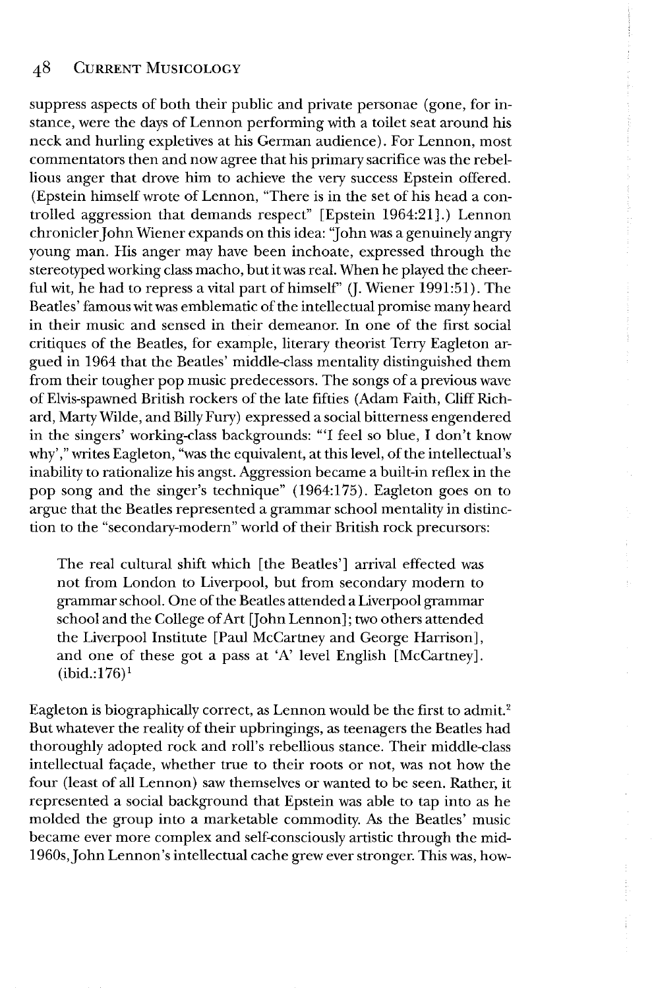suppress aspects of both their public and private personae (gone, for instance, were the days of Lennon performing with a toilet seat around his neck and hurling expletives at his German audience). For Lennon, most commentators then and now agree that his primary sacrifice was the rebellious anger that drove him to achieve the very success Epstein offered. (Epstein himself wrote of Lennon, "There is in the set of his head a controlled aggression that demands respect" [Epstein 1964:21].) Lennon chronicler john Wiener expands on this idea: '1ohn was a genuinely angry young man. His anger may have been inchoate, expressed through the stereotyped working class macho, but it was real. When he played the cheerful wit, he had to repress a vital part of himself' (J. Wiener 1991:51). The Beatles' famous wit was emblematic of the intellectual promise many heard in their music and sensed in their demeanor. **In** one of the first social critiques of the Beatles, for example, literary theorist Terry Eagleton argued in 1964 that the Beatles' middle-class mentality distinguished them from their tougher pop music predecessors. The songs of a previous wave of Elvis-spawned British rockers of the late fifties (Adam Faith, Cliff Richard, Marty Wilde, and Billy Fury) expressed a social bitterness engendered in the singers' working-class backgrounds: "'I feel so blue, I don't know why' ," writes Eagleton, "was the equivalent, at this level, of the intellectual's inability to rationalize his angst. Aggression became a built-in reflex in the pop song and the singer's technique" (1964: 175). Eagleton goes on to argue that the Beatles represented a grammar school mentality in distinction to the "secondary-modern" world of their British rock precursors:

The real cultural shift which [the Beatles'] arrival effected was not from London to Liverpool, but from secondary modern to grammar school. One of the Beatles attended a Liverpool grammar school and the College of Art [John Lennon]; two others attended the Liverpool Institute [Paul McCartney and George Harrison], and one of these got a pass at 'A' level English [McCartney].  $(ibid.:176)^1$ 

Eagleton is biographically correct, as Lennon would be the first to admit. <sup>2</sup> But whatever the reality of their upbringings, as teenagers the Beatles had thoroughly adopted rock and roll's rebellious stance. Their middle-class intellectual façade, whether true to their roots or not, was not how the four (least of all Lennon) saw themselves or wanted to be seen. Rather, it represented a social background that Epstein was able to tap into as he molded the group into a marketable commodity. As the Beatles' music became ever more complex and self-consciously artistic through the mid-1960s, John Lennon's intellectual cache grew ever stronger. This was, how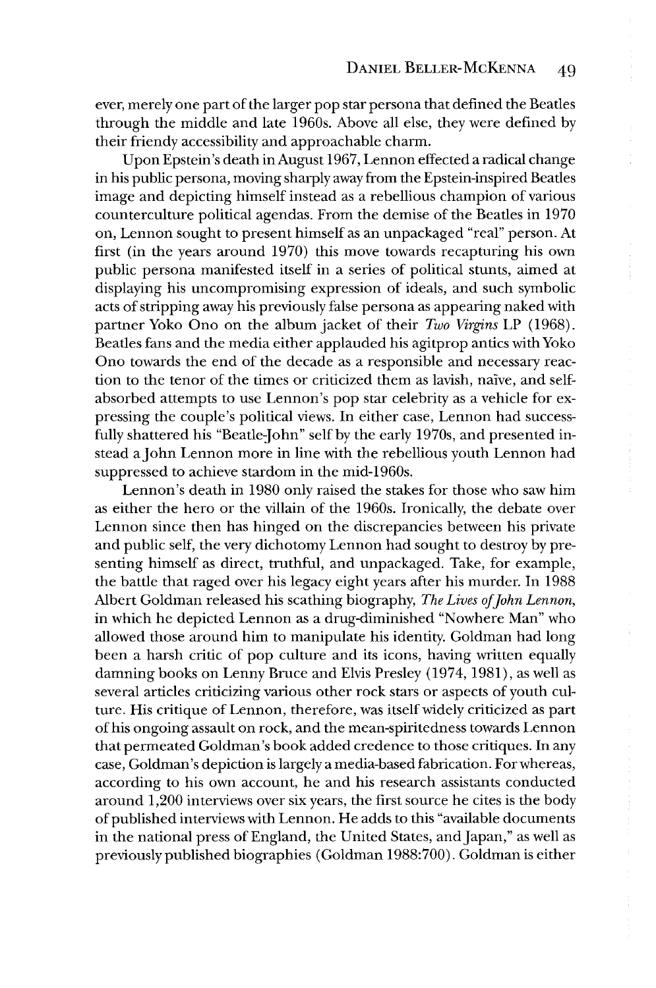ever, merely one part of the larger pop star persona that defined the Beatles through the middle and late 1960s. Above all else, they were defined by their friendy accessibility and approachable charm.

Upon Epstein's death in August 1967, Lennon effected a radical change in his public persona, moving sharply away from the Epstein-inspired Beatles image and depicting himself instead as a rebellious champion of various counterculture political agendas. From the demise of the Beatles in 1970 on, Lennon sought to present himself as an unpackaged "real" person. At first (in the years around 1970) this move towards recapturing his own public persona manifested itself in a series of political stunts, aimed at displaying his uncompromising expression of ideals, and such symbolic acts of stripping away his previously false persona as appearing naked with partner Yoko Ono on the album jacket of their *Two Virgins* LP (1968). Beatles fans and the media either applauded his agitprop antics with Yoko Ono towards the end of the decade as a responsible and necessary reaction to the tenor of the times or criticized them as lavish, naive, and selfabsorbed attempts to use Lennon's pop star celebrity as a vehicle for expressing the couple's political views. In either case, Lennon had successfully shattered his "Beatle-John" self by the early 1970s, and presented instead a John Lennon more in line with the rebellious youth Lennon had suppressed to achieve stardom in the mid-1960s.

Lennon's death in 1980 only raised the stakes for those who saw him as either the hero or the villain of the 1960s. Ironically, the debate over Lennon since then has hinged on the discrepancies between his private and public self, the very dichotomy Lennon had sought to destroy by presenting himself as direct, truthful, and unpackaged. Take, for example, the battle that raged over his legacy eight years after his murder. In 1988 Albert Goldman released his scathing biography, *The Lives of John Lennon,*  in which he depicted Lennon as a drug-diminished "Nowhere Man" who allowed those around him to manipulate his identity. Goldman had long been a harsh critic of pop culture and its icons, having written equally damning books on Lenny Bruce and Elvis Presley (1974, 1981), as well as several articles criticizing various other rock stars or aspects of youth culture. His critique of Lennon, therefore, was itself widely criticized as part of his ongoing assault on rock, and the mean-spiritedness towards Lennon that permeated Goldman's book added credence to those critiques. In any case, Goldman's depiction is largely a media-based fabrication. For whereas, according to his own account, he and his research assistants conducted around 1,200 interviews over six years, the first source he cites is the body of published interviews with Lennon. He adds to this "available documents in the national press of England, the United States, and Japan," as well as previously published biographies (Goldman 1988:700). Goldman is either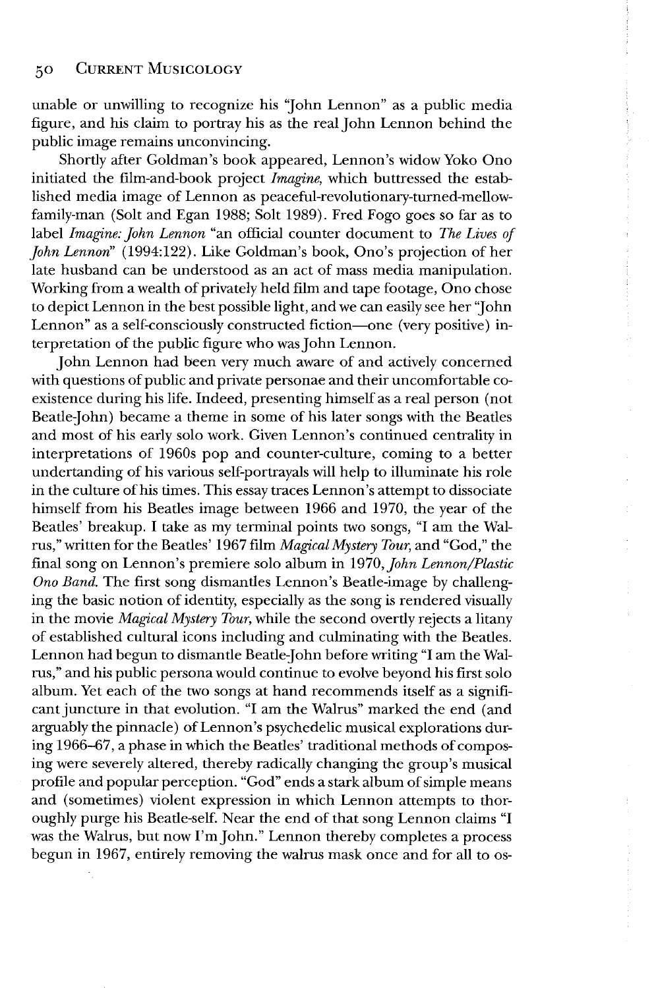unable or unwilling to recognize his 'John Lennon" as a public media figure, and his claim to portray his as the real John Lennon behind the public image remains unconvincing.

Shortly after Goldman's book appeared, Lennon's widow Yoko Ono initiated the film-and-book project *Imagine,* which buttressed the established media image of Lennon as peaceful-revolutionary-turned-mellowfamily-man (Solt and Egan 1988; Solt 1989). Fred Fogo goes so far as to label *Imagine: john Lennon* "an official counter document to *The Lives of john Lennon"* (1994:122). Like Goldman's book, Ono's projection of her late husband can be understood as an act of mass media manipulation. Working from a wealth of privately held film and tape footage, Ono chose to depict Lennon in the best possible light, and we can easily see her 'John Lennon" as a self-consciously constructed fiction-one (very positive) interpretation of the public figure who was John Lennon.

John Lennon had been very much aware of and actively concerned with questions of public and private personae and their uncomfortable coexistence during his life. Indeed, presenting himself as a real person (not Beatle:John) became a theme in some of his later songs with the Beatles and most of his early solo work. Given Lennon's continued centrality in interpretations of 1960s pop and counter-culture, coming to a better undertanding of his various self-portrayals will help to illuminate his role in the culture of his times. This essay traces Lennon's attempt to dissociate himself from his Beatles image between 1966 and 1970, the year of the Beatles' breakup. I take as my terminal points two songs, "I am the Walrus," written for the Beatles' 1967 film *Magical Mystery Tour,* and "God," the final song on Lennon's premiere solo album in 1970, *john Lennon/Plastic Ono Band.* The first song dismantles Lennon's Beatle-image by challenging the basic notion of identity, especially as the song is rendered visually in the movie *Magical Mystery Tour,* while the second overtly rejects a litany of established cultural icons including and culminating with the Beatles. Lennon had begun to dismantle Beatle:John before writing "I am the Walrus," and his public persona would continue to evolve beyond his first solo album. Yet each of the two songs at hand recommends itself as a significant juncture in that evolution. "I am the Walrus" marked the end (and arguably the pinnacle) of Lennon's psychedelic musical explorations during 1966-67, a phase in which the Beatles' traditional methods of composing were severely altered, thereby radically changing the group's musical profile and popular perception. "God" ends a stark album of simple means and (sometimes) violent expression in which Lennon attempts to thoroughly purge his Beatle-self. Near the end of that song Lennon claims "I was the Walrus, but now I'mJohn." Lennon thereby completes a process begun in 1967, entirely removing the walrus mask once and for all to os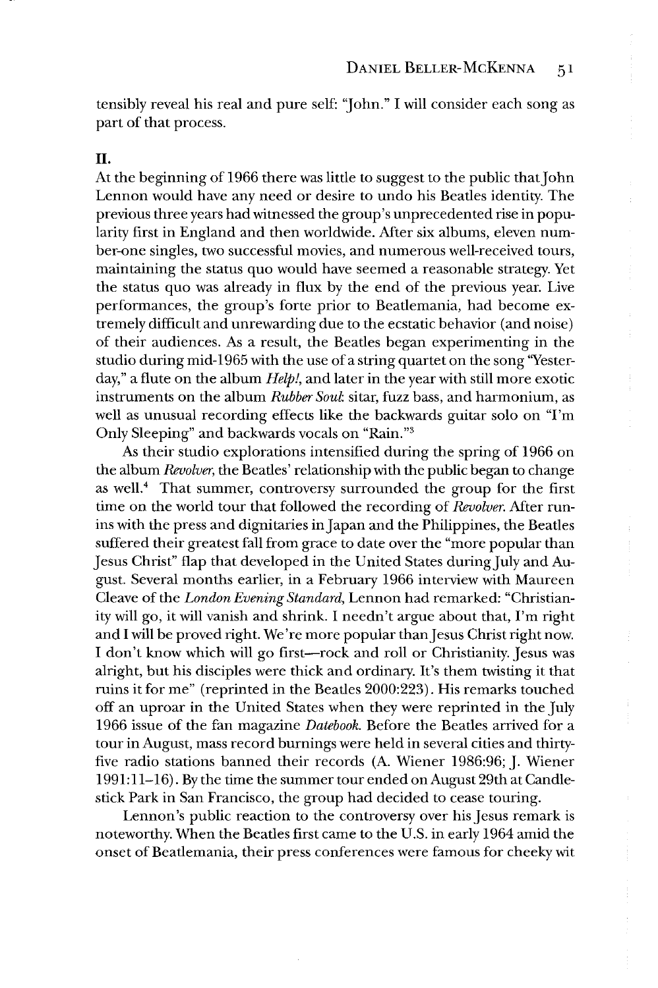tensibly reveal his real and pure self: 'John." I will consider each song as part of that process.

#### **II.**

At the beginning of 1966 there was little to suggest to the public that John Lennon would have any need or desire to undo his Beatles identity. The previous three years had witnessed the group's unprecedented rise in popularity first in England and then worldwide. After six albums, eleven number-one singles, two successful movies, and numerous well-received tours, maintaining the status quo would have seemed a reasonable strategy. Yet the status quo was already in flux by the end of the previous year. Live performances, the group's forte prior to Beatlemania, had become extremely difficult and unrewarding due to the ecstatic behavior (and noise) of their audiences. As a result, the Beatles began experimenting in the studio during mid-1965 with the use of a string quartet on the song ''Yesterday," a flute on the album *Help!,* and later in the year with still more exotic instruments on the album *Rubber Soul:* sitar, fuzz bass, and harmonium, as well as unusual recording effects like the backwards guitar solo on "I'm Only Sleeping" and backwards vocals on "Rain. "3

As their studio explorations intensified during the spring of 1966 on the album *Revolver,* the Beatles' relationship with the public began to change as well.<sup>4</sup> That summer, controversy surrounded the group for the first time on the world tour that followed the recording of *Revolver.* After runins with the press and dignitaries in Japan and the Philippines, the Beatles suffered their greatest fall from grace to date over the "more popular than Jesus Christ" flap that developed in the United States during July and August. Several months earlier, in a February 1966 interview with Maureen Cleave of the *London Evening Standard,* Lennon had remarked: "Christianity will go, it will vanish and shrink. I needn't argue about that, I'm right and I will be proved right. We're more popular than Jesus Christ right now. I don't know which will go first-rock and roll or Christianity. Jesus was alright, but his disciples were thick and ordinary. It's them twisting it that ruins it for me" (reprinted in the Beatles 2000:223). His remarks touched off an uproar in the United States when they were reprinted in the July 1966 issue of the fan magazine *Datebook.* Before the Beatles arrived for a tour in August, mass record burnings were held in several cities and thirtyfive radio stations banned their records (A. Wiener 1986:96; J. Wiener 1991: 11-16). By the time the summer tour ended on August 29th at Candlestick Park in San Francisco, the group had decided to cease touring.

Lennon's public reaction to the controversy over his Jesus remark is noteworthy. When the Beatles first came to the U.S. in early 1964 amid the onset of Beatlemania, their press conferences were famous for cheeky wit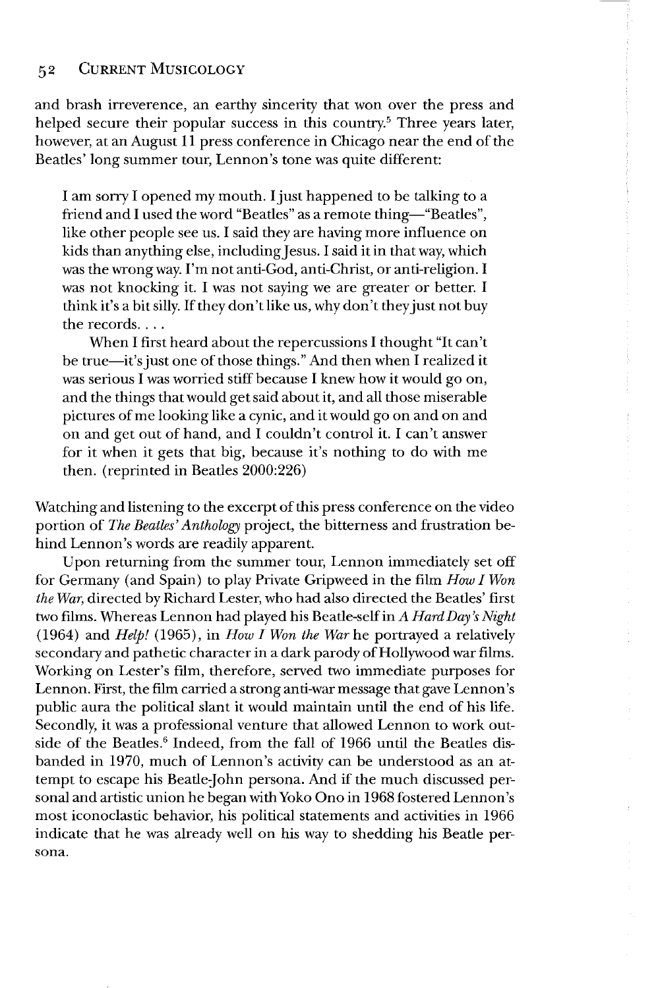and brash irreverence, an earthy sincerity that won over the press and helped secure their popular success in this country.<sup>5</sup> Three years later, however, at an August 11 press conference in Chicago near the end of the Beatles' long summer tour, Lennon's tone was quite different:

I am sorry I opened my mouth. I just happened to be talking to a friend and I used the word "Beatles" as a remote thing-"Beatles", like other people see us. I said they are having more influence on kids than anything else, including Jesus. I said it in that way, which was the wrong way. I'm not anti-God, anti-Christ, or anti-religion. I was not knocking it. I was not saying we are greater or better. I think it's a bit silly. If they don't like us, why don't they just not buy the records...

When I first heard about the repercussions I thought "It can't be true-it's just one of those things." And then when I realized it was serious I was worried stiff because I knew how it would go on, and the things that would get said about it, and all those miserable pictures of me looking like a cynic, and it would go on and on and on and get out of hand, and I couldn't control it. I can't answer for it when it gets that big, because it's nothing to do with me then. (reprinted in Beatles 2000:226)

Watching and listening to the excerpt of this press conference on the video portion of *The Beatles' Anthology* project, the bitterness and frustration behind Lennon's words are readily apparent.

Upon returning from the summer tour, Lennon immediately set off for Germany (and Spain) to play Private Gripweed in the film *How I Won the War,* directed by Richard Lester, who had also directed the Beatles' first two films. Whereas Lennon had played his Beatle-self in *A Hard Day's Night*  (1964) and *Help!* (1965), in *How I Won the War* he portrayed a relatively secondary and pathetic character in a dark parody of Hollywood war films. Working on Lester's film, therefore, served two immediate purposes for Lennon. First, the film carried a strong anti-war message that gave Lennon's public aura the political slant it would maintain until the end of his life. Secondly, it was a professional venture that allowed Lennon to work outside of the Beatles.<sup>6</sup> Indeed, from the fall of 1966 until the Beatles disbanded in 1970, much of Lennon's activity can be understood as an attempt to escape his Beatle:John persona. And if the much discussed personal and artistic union he began with Yoko Ono in 1968 fostered Lennon's most iconoclastic behavior, his political statements and activities in 1966 indicate that he was already well on his way to shedding his Beatle persona.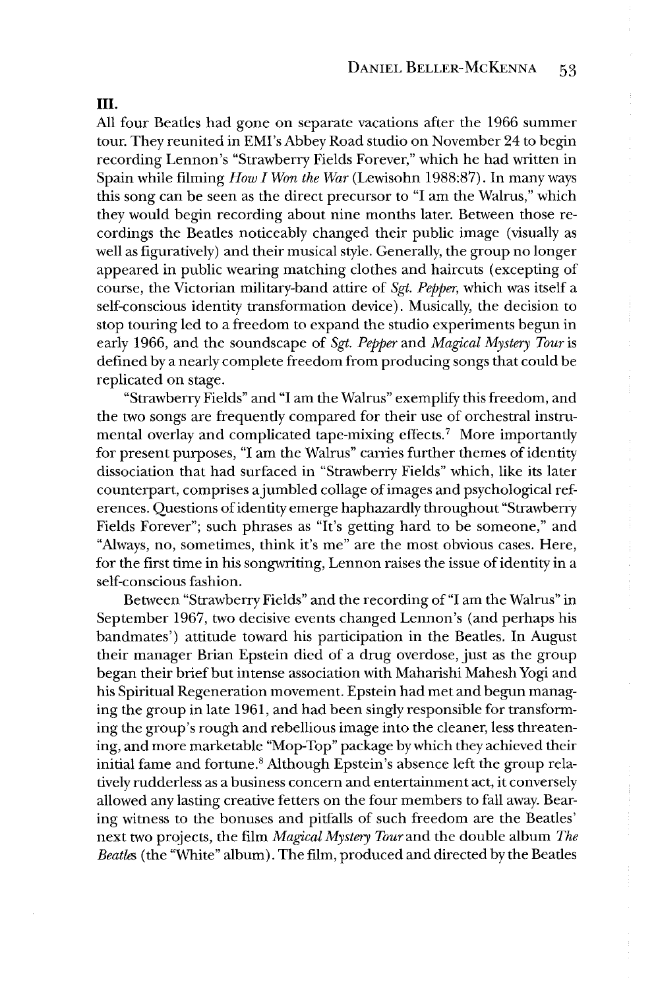**III.** 

All four Beatles had gone on separate vacations after the 1966 summer tour. They reunited in EMI's Abbey Road studio on November 24 to begin recording Lennon's "Strawberry Fields Forever," which he had written in Spain while filming *How I Won the War* (Lewisohn 1988:87). In many ways this song can be seen as the direct precursor to "I am the Walrus," which they would begin recording about nine months later. Between those recordings the Beatles noticeably changed their public image (visually as well as figuratively) and their musical style. Generally, the group no longer appeared in public wearing matching clothes and haircuts (excepting of course, the Victorian military-band attire of Sgt. *Pepper,* which was itself a self-conscious identity transformation device). Musically, the decision to stop touring led to a freedom to expand the studio experiments begun in early 1966, and the soundscape of Sgt. *Pepper* and *Magical Mystery Tour* is defined by a nearly complete freedom from producing songs that could be replicated on stage.

"Strawberry Fields" and "I am the Walrus" exemplity this freedom, and the two songs are frequently compared for their use of orchestral instrumental overlay and complicated tape-mixing effects.<sup>7</sup> More importantly for present purposes, "I am the Walrus" carries further themes of identity dissociation that had surfaced in "Strawberry Fields" which, like its later counterpart, comprises ajumbled collage of images and psychological references. Questions of identity emerge haphazardly throughout "Strawberry Fields Forever"; such phrases as "It's getting hard to be someone," and "Always, no, sometimes, think it's me" are the most obvious cases. Here, for the first time in his songwriting, Lennon raises the issue of identity in a self-conscious fashion.

Between "Strawberry Fields" and the recording of "I am the Walrus" in September 1967, two decisive events changed Lennon's (and perhaps his bandmates') attitude toward his participation in the Beatles. In August their manager Brian Epstein died of a drug overdose, just as the group began their brief but intense association with Maharishi Mahesh Yogi and his Spiritual Regeneration movement. Epstein had met and begun managing the group in late 1961, and had been singly responsible for transforming the group's rough and rebellious image into the cleaner, less threatening, and more marketable "Mop-Top" package by which they achieved their initial fame and fortune.<sup>8</sup> Although Epstein's absence left the group relatively rudderless as a business concern and entertainment act, it conversely allowed any lasting creative fetters on the four members to fall away. Bearing witness to the bonuses and pitfalls of such freedom are the Beatles' next two projects, the film *Magical Mystery Tour* and the double album *The Beatles* (the "White" album). The film, produced and directed by the Beatles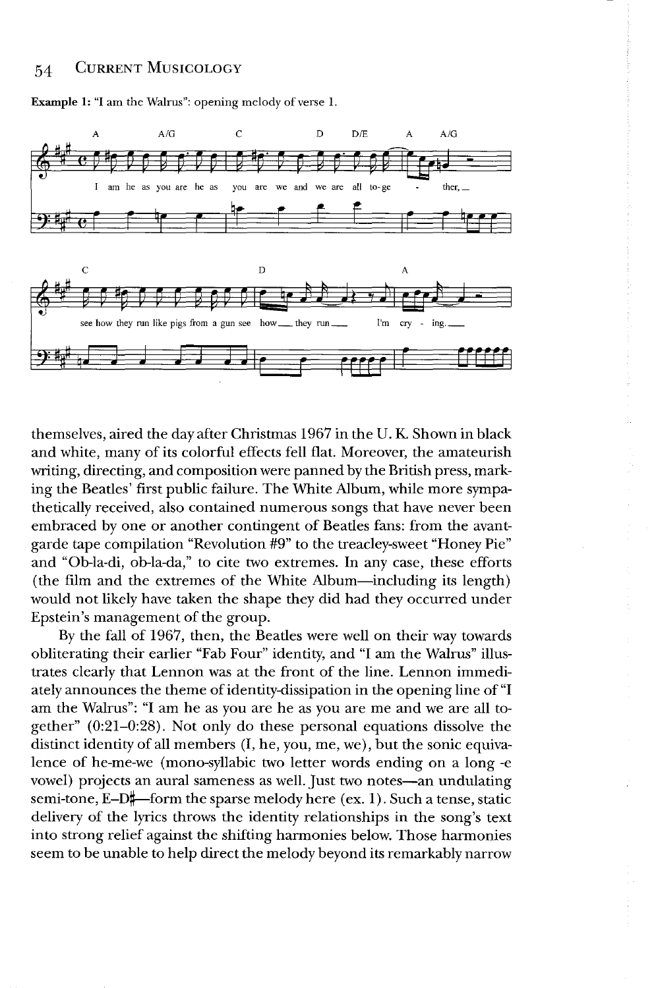#### 54 CURRENT MUSICOLOGY



Example 1: "I am the Walrus"; opening melody of verse 1.

themselves, aired the day after Christmas 1967 in the U. K Shown in black and white, many of its colorful effects fell flat. Moreover, the amateurish writing, directing, and composition were panned by the British press, marking the Beatles' first public failure. The White Album, while more sympathetically received, also contained numerous songs that have never been embraced by one or another contingent of Beatles fans: from the avantgarde tape compilation "Revolution #9" to the treadey-sweet "Honey Pie" and "Ob-Ia-di, ob-Ia-da," to cite two extremes. In any case, these efforts (the film and the extremes of the White Album-including its length) would not likely have taken the shape they did had they occurred under Epstein's management of the group.

By the fall of 1967, then, the Beatles were well on their way towards obliterating their earlier "Fab Four" identity, and "I am the Walrus" illustrates clearly that Lennon was at the front of the line. Lennon immediately announces the theme of identity-dissipation in the opening line of "I am the Walrus": "I am he as you are he as you are me and we are all together" (0:21-0:28). Not only do these personal equations dissolve the distinct identity of all members (I, he, you, me, we), but the sonic equivalence of he-me-we (mono-syllabic two letter words ending on a long -e vowel) projects an aural sameness as well. Just two notes-an undulating semi-tone, E-D#--form the sparse melody here (ex. 1). Such a tense, static delivery of the lyrics throws the identity relationships in the song's text into strong relief against the shifting harmonies below. Those harmonies seem to be unable to help direct the melody beyond its remarkably narrow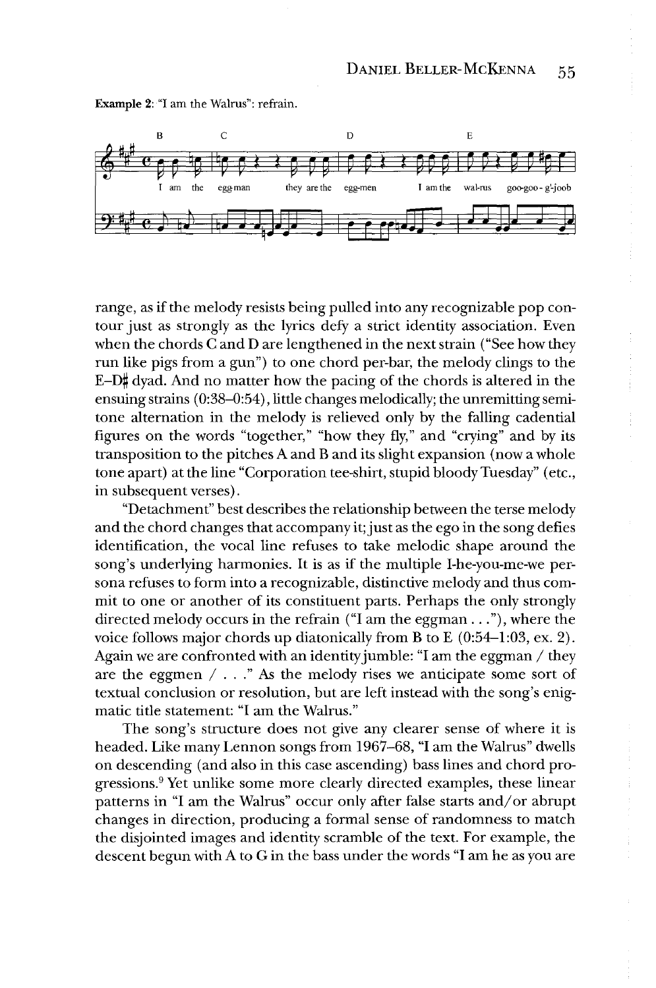

Example 2: "1 am the Walrus": refrain.

range, as if the melody resists being pulled into any recognizable pop contour just as strongly as the lyrics defy a strict identity association. Even when the chords C and D are lengthened in the next strain ("See how they run like pigs from a gun") to one chord per-bar, the melody clings to the  $E-D\sharp$  dyad. And no matter how the pacing of the chords is altered in the ensuing strains (0:38-0:54), little changes melodically; the unremitting semitone alternation in the melody is relieved only by the falling cadential figures on the words "together," "how they fly," and "crying" and by its transposition to the pitches A and B and its slight expansion (now a whole tone apart) at the line "Corporation tee-shirt, stupid bloody Tuesday" (etc., in subsequent verses).

"Detachment" best describes the relationship between the terse melody and the chord changes that accompany it; just as the ego in the song defies identification, the vocal line refuses to take melodic shape around the song's underlying harmonies. It is as if the multiple I-he-you-me-we persona refuses to form into a recognizable, distinctive melody and thus commit to one or another of its constituent parts. Perhaps the only strongly directed melody occurs in the refrain ("I am the eggman ... "), where the voice follows major chords up diatonically from B to E  $(0.54-1.03, \text{ex}, 2)$ . Again we are confronted with an identity jumble: "I am the eggman / they are the eggmen  $/ \ldots$ ." As the melody rises we anticipate some sort of textual conclusion or resolution, but are left instead with the song's enigmatic title statement: "I am the Walrus."

The song's structure does not give any clearer sense of where it is headed. Like many Lennon songs from 1967-68, "I am the Walrus" dwells on descending (and also in this case ascending) bass lines and chord progressions.9 Yet unlike some more clearly directed examples, these linear patterns in "I am the Walrus" occur only after false starts and/ or abrupt changes in direction, producing a formal sense of randomness to match the disjointed images and identity scramble of the text. For example, the descent begun with A to G in the bass under the words "I am he as you are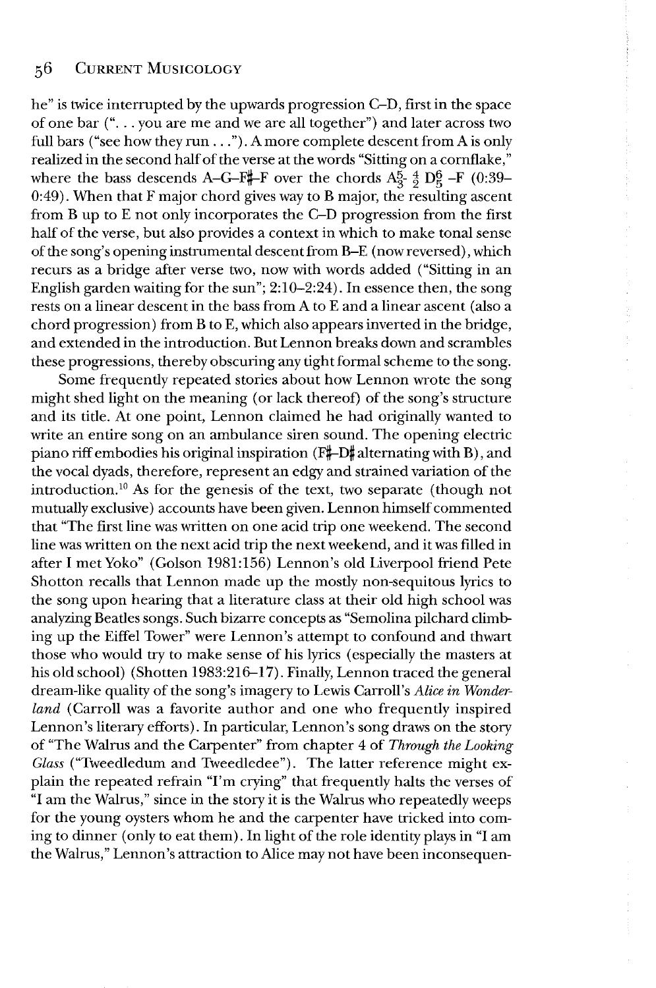he" is twice interrupted by the upwards progression C-D, first in the space of one bar (" ... you are me and we are all together") and later across two full bars ("see how they run ..."). A more complete descent from A is only realized in the second half of the verse at the words "Sitting on a cornflake," where the bass descends A-G-F#-F over the chords  $A_2^S$   $\frac{3}{2}$  D $\frac{6}{5}$  –F (0:39-0:49). When that F major chord gives way to B major, the resulting ascent from B up to E not only incorporates the C-D progression from the first half of the verse, but also provides a context in which to make tonal sense of the song's opening instrumental descent from B-E (now reversed), which recurs as a bridge after verse two, now with words added ("Sitting in an English garden waiting for the sun"; 2:10-2:24). In essence then, the song rests on a linear descent in the bass from A to E and a linear ascent (also a chord progression) from B to E, which also appears inverted in the bridge, and extended in the introduction. But Lennon breaks down and scrambles these progressions, thereby obscuring any tight formal scheme to the song.

Some frequently repeated stories about how Lennon wrote the song might shed light on the meaning (or lack thereof) of the song's structure and its title. At one point, Lennon claimed he had originally wanted to write an entire song on an ambulance siren sound. The opening electric piano riff embodies his original inspiration (F#-D# alternating with B), and the vocal dyads, therefore, represent an edgy and strained variation of the introduction.<sup>10</sup> As for the genesis of the text, two separate (though not mutually exclusive) accounts have been given. Lennon himself commented that "The first line was written on one acid trip one weekend. The second line was written on the next acid trip the next weekend, and it was filled in after I metYoko" (Golson 1981:156) Lennon's old Liverpool friend Pete Shotton recalls that Lennon made up the mostly non-sequitous lyrics to the song upon hearing that a literature class at their old high school was analyzing Beatles songs. Such bizarre concepts as "Semolina pilchard climbing up the Eiffel Tower" were Lennon's attempt to confound and thwart those who would try to make sense of his lyrics (especially the masters at his old school) (Shotten 1983:216-17). Finally, Lennon traced the general dream-like quality of the song's imagery to Lewis Carroll's Alice in Wonderland (Carroll was a favorite author and one who frequently inspired Lennon's literary efforts). In particular, Lennon's song draws on the story of "The Walrus and the Carpenter" from chapter 4 of *Through the Looking Glass* ("Tweedledum and Tweedledee"). The latter reference might explain the repeated refrain "I'm crying" that frequently halts the verses of "I am the Walrus," since in the story it is the Walrus who repeatedly weeps for the young oysters whom he and the carpenter have tricked into coming to dinner (only to eat them). In light of the role identity plays in "I am the Walrus," Lennon's attraction to Alice may not have been inconsequen-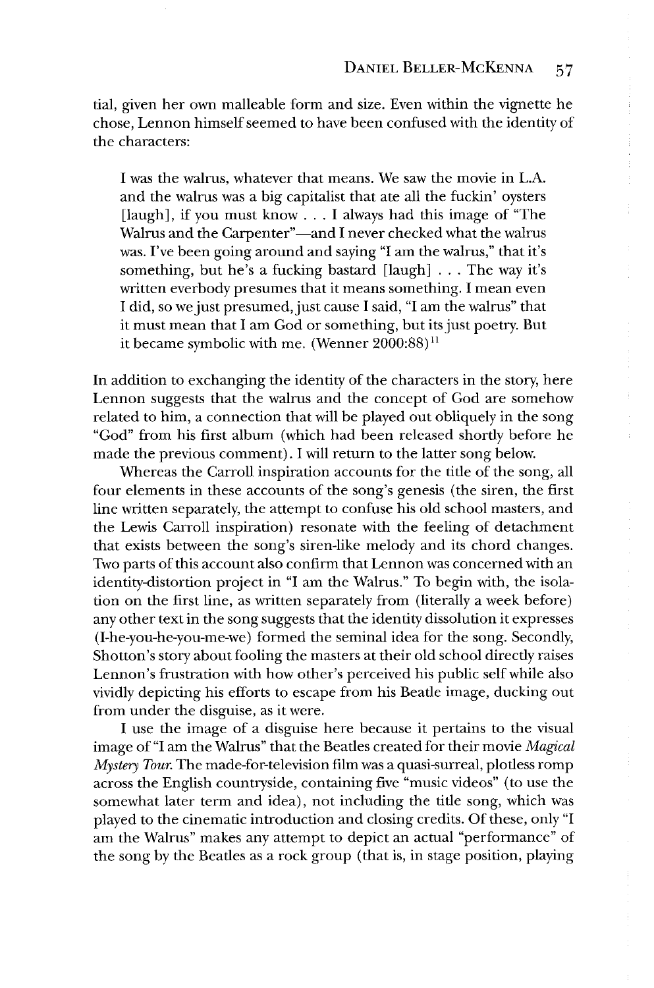tial, given her own malleable form and size. Even within the vignette he chose, Lennon himself seemed to have been confused with the identity of the characters:

I was the walrus, whatever that means. We saw the movie in L.A. and the walrus was a big capitalist that ate all the fuckin' oysters [laugh], if you must know ... I always had this image of "The Walrus and the Carpenter"-and I never checked what the walrus was. I've been going around and saying "I am the walrus," that it's something, but he's a fucking bastard [laugh] ... The way it's written everbody presumes that it means something. I mean even I did, so we just presumed, just cause I said, "I am the walrus" that it must mean that I am God or something, but its just poetry. But it became symbolic with me. (Wenner 2000:88) 11

**In** addition to exchanging the identity of the characters in the story, here Lennon suggests that the walrus and the concept of God are somehow related to him, a connection that will be played out obliquely in the song "God" from his first album (which had been released shortly before he made the previous comment). I will return to the latter song below.

Whereas the Carroll inspiration accounts for the title of the song, all four elements in these accounts of the song's genesis (the siren, the first line written separately, the attempt to confuse his old school masters, and the Lewis Carroll inspiration) resonate with the feeling of detachment that exists between the song's siren-like melody and its chord changes. Two parts of this account also confirm that Lennon was concerned with an identity-distortion project in "I am the Walrus." To begin with, the isolation on the first line, as written separately from (literally a week before) any other text in the song suggests that the identity dissolution it expresses (I-he-you-he-you-me-we) formed the seminal idea for the song. Secondly, Shotton's story about fooling the masters at their old school directly raises Lennon's frustration with how other's perceived his public self while also vividly depicting his efforts to escape from his Beatle image, ducking out from under the disguise, as it were.

I use the image of a disguise here because it pertains to the visual image of "I am the Walrus" that the Beatles created for their movie *Magical Mystery Tour.* The made-for-television film was a quasi-surreal, plotless romp across the English countryside, containing five "music videos" (to use the somewhat later term and idea), not including the title song, which was played to the cinematic introduction and closing credits. Of these, only "I am the Walrus" makes any attempt to depict an actual "performance" of the song by the Beatles as a rock group (that is, in stage position, playing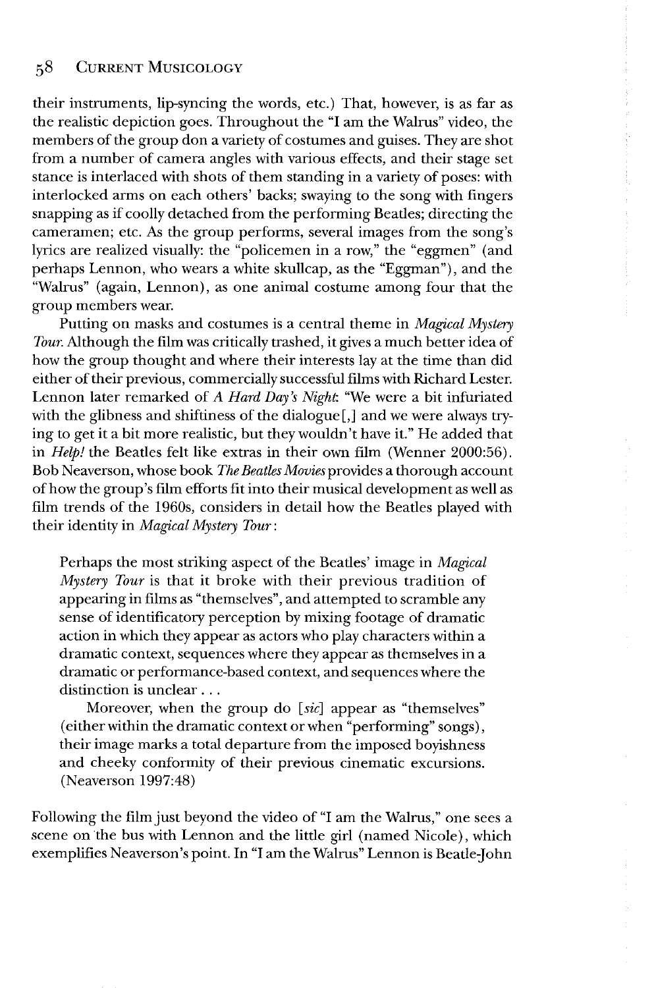their instruments, lip-syncing the words, etc.) That, however, is as far as the realistic depiction goes. Throughout the "I am the Walrus" video, the members of the group don a variety of costumes and guises. They are shot from a number of camera angles with various effects, and their stage set stance is interlaced with shots of them standing in a variety of poses: with interlocked arms on each others' backs; swaying to the song with fingers snapping as if coolly detached from the performing Beatles; directing the cameramen; etc. As the group performs, several images from the song's lyrics are realized visually: the "policemen in a row," the "eggmen" (and perhaps Lennon, who wears a white skullcap, as the "Eggman"), and the "Walrus" (again, Lennon), as one animal costume among four that the group members wear.

Putting on masks and costumes is a central theme in *Magical Mystery Tour.* Although the film was critically trashed, it gives a much better idea of how the group thought and where their interests lay at the time than did either of their previous, commercially successful films with Richard Lester. Lennon later remarked of *A Hard Day's Night*: "We were a bit infuriated with the glibness and shiftiness of the dialogue [,] and we were always trying to get it a bit more realistic, but they wouldn't have it." He added that in *Help!* the Beatles felt like extras in their own film (Wenner 2000:56). Bob Neaverson, whose book *The Beatles Movies* provides a thorough account of how the group's film efforts fit into their musical development as well as film trends of the 1960s, considers in detail how the Beatles played with their identity in *Magical Mystery Tour:* 

Perhaps the most striking aspect of the Beatles' image in *Magical Mystery Tour* is that it broke with their previous tradition of appearing in films as "themselves", and attempted to scramble any sense of identificatory perception by mixing footage of dramatic action in which they appear as actors who play characters within a dramatic context, sequences where they appear as themselves in a dramatic or performance-based context, and sequences where the distinction is unclear ...

Moreover, when the group do *[sic]* appear as "themselves" (either within the dramatic context or when "performing" songs), their image marks a total departure from the imposed boyishness and cheeky conformity of their previous cinematic excursions. (Neaverson 1997:48)

Following the filmjust beyond the video of "I am the Walrus," one sees a scene on the bus with Lennon and the little girl (named Nicole), which exemplifies Neaverson's point. **In** "I am the Walrus" Lennon is Beatle:John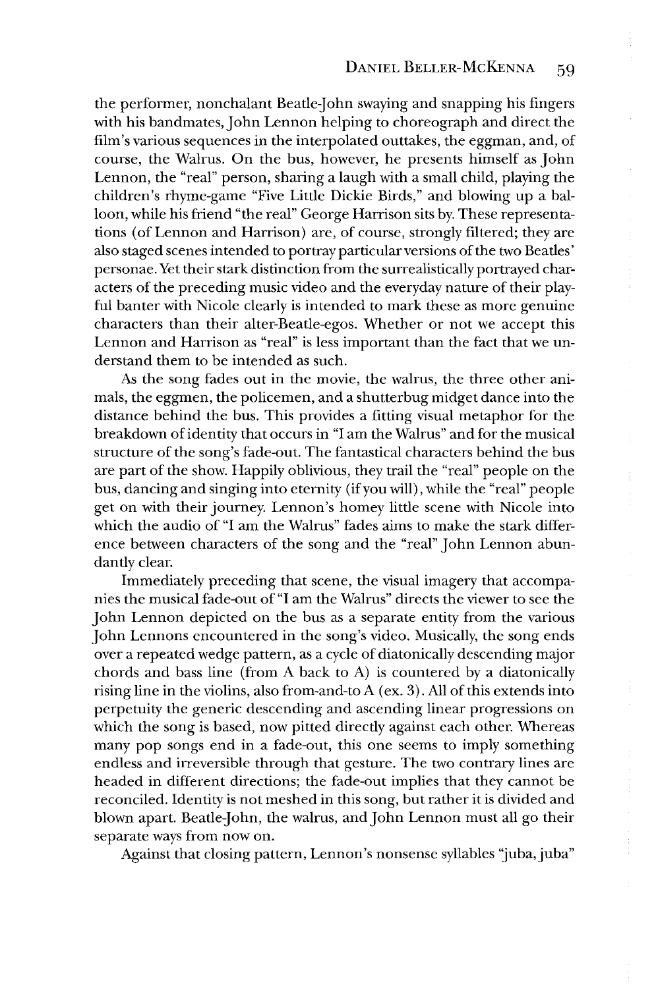the performer, nonchalant Beatle-John swaying and snapping his fingers with his bandmates, John Lennon helping to choreograph and direct the film's various sequences in the interpolated outtakes, the eggman, and, of course, the Walrus. On the bus, however, he presents himself as John Lennon, the "real" person, sharing a laugh with a small child, playing the children's rhyme-game "Five Little Dickie Birds," and blowing up a balloon, while his friend "the real" George Harrison sits by. These representations (of Lennon and Harrison) are, of course, strongly filtered; they are also staged scenes intended to portray particular versions of the two Beatles' personae. Yet their stark distinction from the surrealistically portrayed characters of the preceding music video and the everyday nature of their playful banter with Nicole clearly is intended to mark these as more genuine characters than their alter-Beatle-egos. Whether or not we accept this Lennon and Harrison as "real" is less important than the fact that we understand them to be intended as such.

As the song fades out in the movie, the walrus, the three other animals, the eggmen, the policemen, and a shutterbug midget dance into the distance behind the bus. This provides a fitting visual metaphor for the breakdown of identity that occurs in "I am the Walrus" and for the musical structure of the song's fade-out. The fantastical characters behind the bus are part of the show. Happily oblivious, they trail the "real" people on the bus, dancing and singing into eternity (if you will), while the "real" people get on with their journey. Lennon's homey little scene with Nicole into which the audio of "I am the Walrus" fades aims to make the stark difference between characters of the song and the "real" John Lennon abundantly clear.

Immediately preceding that scene, the visual imagery that accompanies the musical fade-out of "I am the Walrus" directs the viewer to see the John Lennon depicted on the bus as a separate entity from the various John Lennons encountered in the song's video. Musically, the song ends over a repeated wedge pattern, as a cycle of diatonically descending major chords and bass line (from A back to A) is countered by a diatonically rising line in the violins, also from-and-to A (ex. 3). All of this extends into perpetuity the generic descending and ascending linear progressions on which the song is based, now pitted directly against each other. Whereas many pop songs end in a fade-out, this one seems to imply something endless and irreversible through that gesture. The two contrary lines are headed in different directions; the fade-out implies that they cannot be reconciled. Identity is not meshed in this song, but rather it is divided and blown apart. Beatle-John, the walrus, and John Lennon must all go their separate ways from now on.

Against that closing pattern, Lennon's nonsense syllables "juba, juba"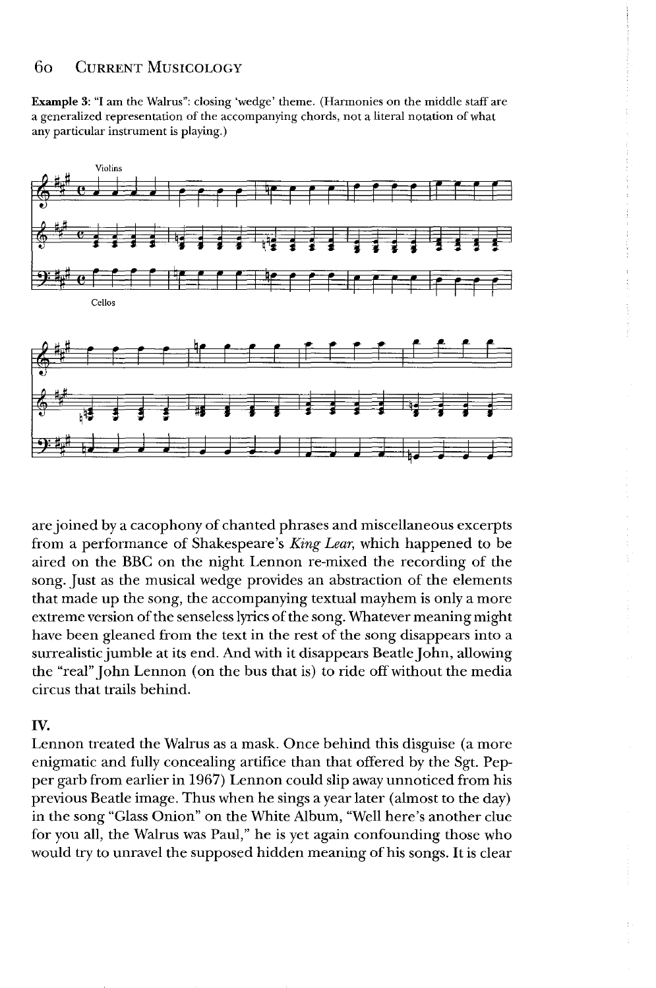## 60 CURRENT MUSICOLOGY

Example 3: "I am the Walrus": closing 'wedge' theme. (Harmonies on the middle staff are a generalized representation of the accompanying chords, not a literal notation of what any particular instrument is playing.)



are joined by a cacophony of chanted phrases and miscellaneous excerpts from a performance of Shakespeare's *King Lear,* which happened to be aired on the BBC on the night Lennon re-mixed the recording of the song. Just as the musical wedge provides an abstraction of the elements that made up the song, the accompanying textual mayhem is only a more extreme version of the senseless lyrics of the song. Whatever meaning might have been gleaned from the text in the rest of the song disappears into a surrealistic jumble at its end. And with it disappears Beatle John, allowing the "real" John Lennon (on the bus that is) to ride off without the media circus that trails behind.

### **IV.**

Lennon treated the Walrus as a mask. Once behind this disguise (a more enigmatic and fully concealing artifice than that offered by the Sgt. Pepper garb from earlier in 1967) Lennon could slip away unnoticed from his previous Beatle image. Thus when he sings a year later (almost to the day) in the song "Glass Onion" on the White Album, "Well here's another clue for you all, the Walrus was Paul," he is yet again confounding those who would try to unravel the supposed hidden meaning of his songs. It is clear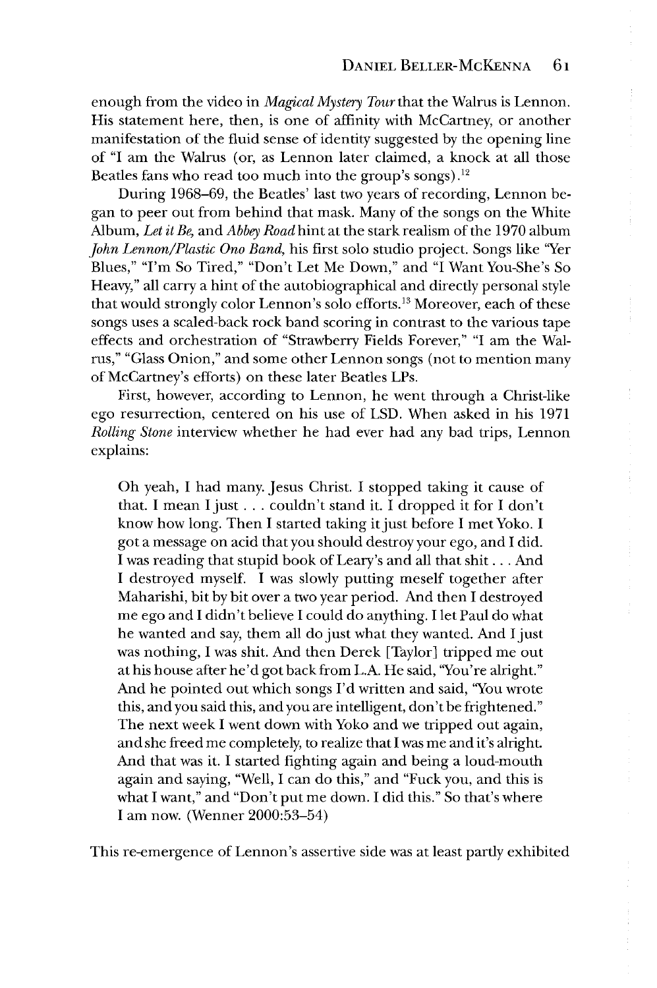enough from the video in *Magical Mystery Tour* that the Walrus is Lennon. His statement here, then, is one of affinity with McCartney, or another manifestation of the fluid sense of identity suggested by the opening line of "I am the Walrus (or, as Lennon later claimed, a knock at all those Beatles fans who read too much into the group's songs).<sup>12</sup>

During 1968-69, the Beatles' last two years of recording, Lennon began to peer out from behind that mask. Many of the songs on the White Album, *Let it Be,* and *Abbey Road* hint at the stark realism of the 1970 album *John Lennon/Plastic Dna Band,* his first solo studio project. Songs like ''Yer Blues," "I'm So Tired," "Don't Let Me Down," and "I Want You-She's So Heavy," all carry a hint of the autobiographical and directly personal style that would strongly color Lennon's solo efforts.<sup>13</sup> Moreover, each of these songs uses a scaled-back rock band scoring in contrast to the various tape effects and orchestration of "Strawberry Fields Forever," "I am the Walrus," "Glass Onion," and some other Lennon songs (not to mention many of McCartney's efforts) on these later Beatles LPs.

First, however, according to Lennon, he went through a Christ-like ego resurrection, centered on his use of LSD. When asked in his 1971 *Rolling Stone* interview whether he had ever had any bad trips, Lennon explains:

Oh yeah, 1 had many. Jesus Christ. 1 stopped taking it cause of that. I mean I just . . . couldn't stand it. I dropped it for I don't know how long. Then 1 started taking it just before 1 met Yoko. 1 got a message on acid that you should destroy your ego, and 1 did. 1 was reading that stupid book of Leary's and all that shit ... And 1 destroyed myself. 1 was slowly putting meself together after Maharishi, bit by bit over a two year period. And then 1 destroyed me ego and 1 didn't believe 1 could do anything. 1 let Paul do what he wanted and say, them all do just what they wanted. And 1 just was nothing, 1 was shit. And then Derek [Taylor] tripped me out at his house after he'd got back from L.A. He said, ''You're alright." And he pointed out which songs I'd written and said, ''You wrote this, and you said this, and you are intelligent, don't be frightened." The next week 1 went down with Yoko and we tripped out again, and she freed me completely, to realize that 1 was me and it's alright. And that was it. 1 started fighting again and being a loud-mouth again and saying, "Well, 1 can do this," and "Fuck you, and this is what 1 want," and "Don't put me down. 1 did this." So that's where 1 am now. (Wenner 2000:53-54)

This re-emergence of Lennon's assertive side was at least partly exhibited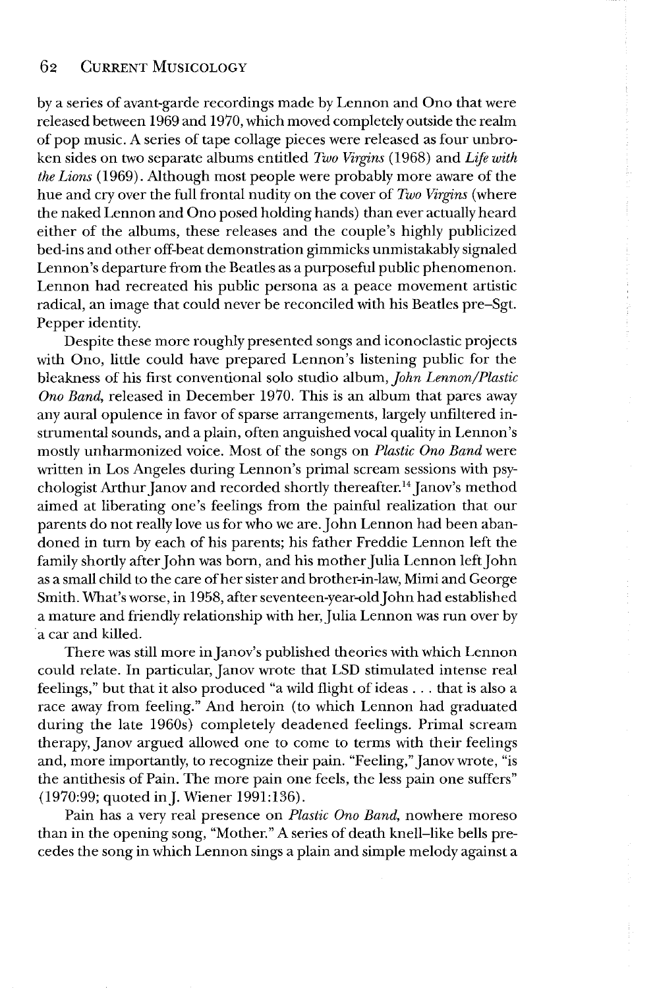by a series of avant-garde recordings made by Lennon and Ono that were released between 1969 and 1970, which moved completely outside the realm of pop music. A series of tape collage pieces were released as four unbroken sides on two separate albums entitled *Two Virgins* (1968) and *Life with the Lions* (1969). Although most people were probably more aware of the hue and cry over the full frontal nudity on the cover of *Two Virgins* (where the naked Lennon and Ono posed holding hands) than ever actually heard either of the albums, these releases and the couple's highly publicized bed-ins and other off-beat demonstration gimmicks unmistakably signaled Lennon's departure from the Beatles as a purposeful public phenomenon. Lennon had recreated his public persona as a peace movement artistic radical, an image that could never be reconciled with his Beatles pre-Sgt. Pepper identity.

Despite these more roughly presented songs and iconoclastic projects with Ono, little could have prepared Lennon's listening public for the bleakness of his first conventional solo studio album, *John Lennon/Plastic Dna Band,* released in December 1970. This is an album that pares away any aural opulence in favor of sparse arrangements, largely unfiltered instrumental sounds, and a plain, often anguished vocal quality in Lennon's mostly unharmonized voice. Most of the songs on *Plastic Dna Band* were written in Los Angeles during Lennon's primal scream sessions with psychologist Arthur Janov and recorded shortly thereafter. 14 Janov's method aimed at liberating one's feelings from the painful realization that our parents do not really love us for who we are. John Lennon had been abandoned in turn by each of his parents; his father Freddie Lennon left the family shortly after John was born, and his mother Julia Lennon left John as a small child to the care of her sister and brother-in-law, Mimi and George Smith. What's worse, in 1958, after seventeen-year-old John had established a mature and friendly relationship with her, Julia Lennon was run over by a car and killed.

There was still more in Janov's published theories with which Lennon could relate. In particular, Janov wrote that LSD stimulated intense real feelings," but that it also produced "a wild flight of ideas ... that is also a race away from feeling." And heroin (to which Lennon had graduated during the late 1960s) completely deadened feelings. Primal scream therapy, Janov argued allowed one to come to terms with their feelings and, more importantly, to recognize their pain. "Feeling," Janov wrote, "is the antithesis of Pain. The more pain one feels, the less pain one suffers" (1970:99; quoted in]. Wiener 1991:136).

Pain has a very real presence on *Plastic Dna Band,* nowhere moreso than in the opening song, "Mother." A series of death knell-like bells precedes the song in which Lennon sings a plain and simple melody against a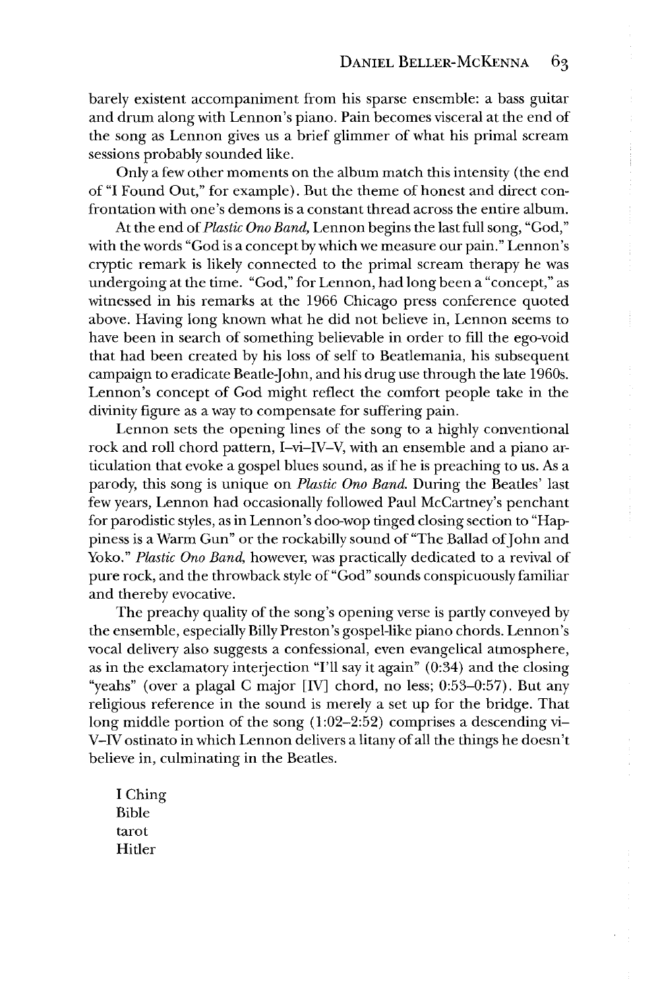barely existent accompaniment from his sparse ensemble: a bass guitar and drum along with Lennon's piano. Pain becomes visceral at the end of the song as Lennon gives us a brief glimmer of what his primal scream sessions probably sounded like.

Only a few other moments on the album match this intensity (the end of "I Found Out," for example). But the theme of honest and direct confrontation with one's demons is a constant thread across the entire album.

At the end of *Plastic Dno Band,* Lennon begins the last full song, "God," with the words "God is a concept by which we measure our pain." Lennon's cryptic remark is likely connected to the primal scream therapy he was undergoing at the time. "God," for Lennon, had long been a "concept," as witnessed in his remarks at the 1966 Chicago press conference quoted above. Having long known what he did not believe in, Lennon seems to have been in search of something believable in order to fill the ego-void that had been created by his loss of self to Beatlemania, his subsequent campaign to eradicate Beatle-John, and his drug use through the late 1960s. Lennon's concept of God might reflect the comfort people take in the divinity figure as a way to compensate for suffering pain.

Lennon sets the opening lines of the song to a highly conventional rock and roll chord pattern, I-vi-IV-V, with an ensemble and a piano articulation that evoke a gospel blues sound, as if he is preaching to us. As a parody, this song is unique on *Plastic Dno Band.* During the Beatles' last few years, Lennon had occasionally followed Paul McCartney's penchant for parodistic styles, as in Lennon's doo-wop tinged closing section to "Happiness is a Warm Gun" or the rockabilly sound of "The Ballad of John and Yoko." *Plastic Dno Band,* however, was practically dedicated to a revival of pure rock, and the throwback style of "God" sounds conspicuously familiar and thereby evocative.

The preachy quality of the song's opening verse is partly conveyed by the ensemble, especially Billy Preston's gospel-like piano chords. Lennon's vocal delivery also suggests a confessional, even evangelical atmosphere, as in the exclamatory interjection "I'll say it again" (0:34) and the closing "yeahs" (over a plagal C major [IV] chord, no less; 0:53-0:57). But any religious reference in the sound is merely a set up for the bridge. That long middle portion of the song (1:02-2:52) comprises a descending vi-V-IV ostinato in which Lennon delivers a litany of all the things he doesn't believe in, culminating in the Beatles.

1 Ching Bible tarot Hitler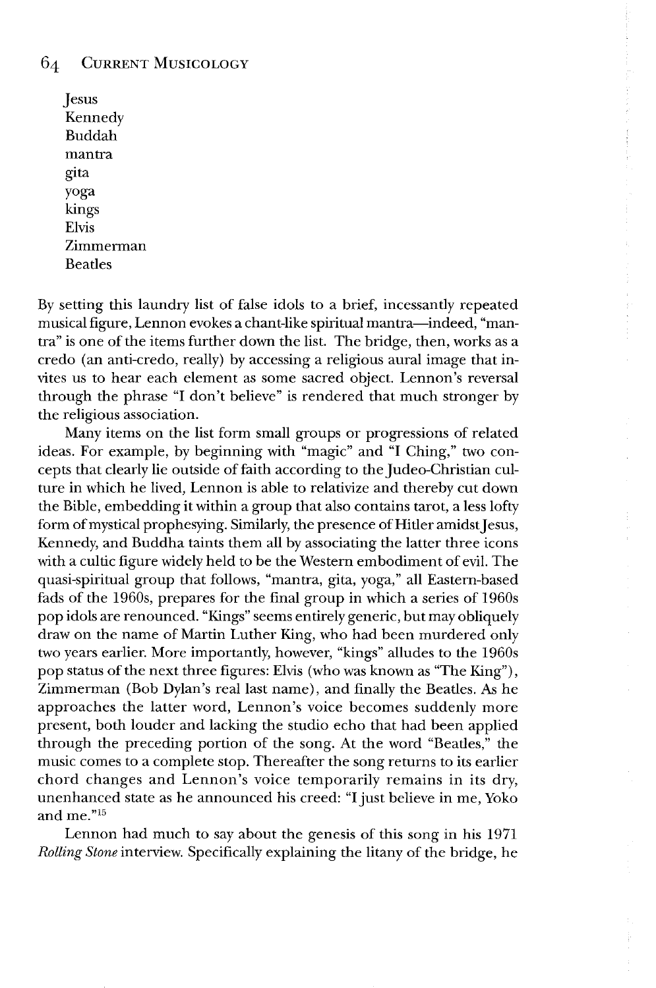Jesus Kennedy Buddah mantra gita yoga kings Elvis Zimmerman Beatles

By setting this laundry list of false idols to a brief, incessantly repeated musical figure, Lennon evokes a chant-like spiritual mantra-indeed, "mantra" is one of the items further down the list. The bridge, then, works as a credo (an anti-credo, really) by accessing a religious aural image that invites us to hear each element as some sacred object. Lennon's reversal through the phrase "I don't believe" is rendered that much stronger by the religious association.

Many items on the list form small groups or progressions of related ideas. For example, by beginning with "magic" and "I Ching," two concepts that clearly lie outside of faith according to the Judeo-Christian culture in which he lived, Lennon is able to relativize and thereby cut down the Bible, embedding it within a group that also contains tarot, a less lofty form of mystical prophesying. Similarly, the presence of Hitler amidst Jesus, Kennedy, and Buddha taints them all by associating the latter three icons with a cultic figure widely held to be the Western embodiment of evil. The quasi-spiritual group that follows, "mantra, gita, yoga," all Eastern-based fads of the 1960s, prepares for the final group in which a series of 1960s pop idols are renounced. "Kings" seems entirely generic, but may obliquely draw on the name of Martin Luther King, who had been murdered only two years earlier. More importantly, however, "kings" alludes to the 1960s pop status of the next three figures: Elvis (who was known as "The King"), Zimmerman (Bob Dylan's real last name), and finally the Beatles. As he approaches the latter word, Lennon's voice becomes suddenly more present, both louder and lacking the studio echo that had been applied through the preceding portion of the song. At the word "Beatles," the music comes to a complete stop. Thereafter the song returns to its earlier chord changes and Lennon's voice temporarily remains in its dry, unenhanced state as he announced his creed: "I just believe in me, Yoko and me."15

Lennon had much to say about the genesis of this song in his 1971 *Rolling Stone* interview. Specifically explaining the litany of the bridge, he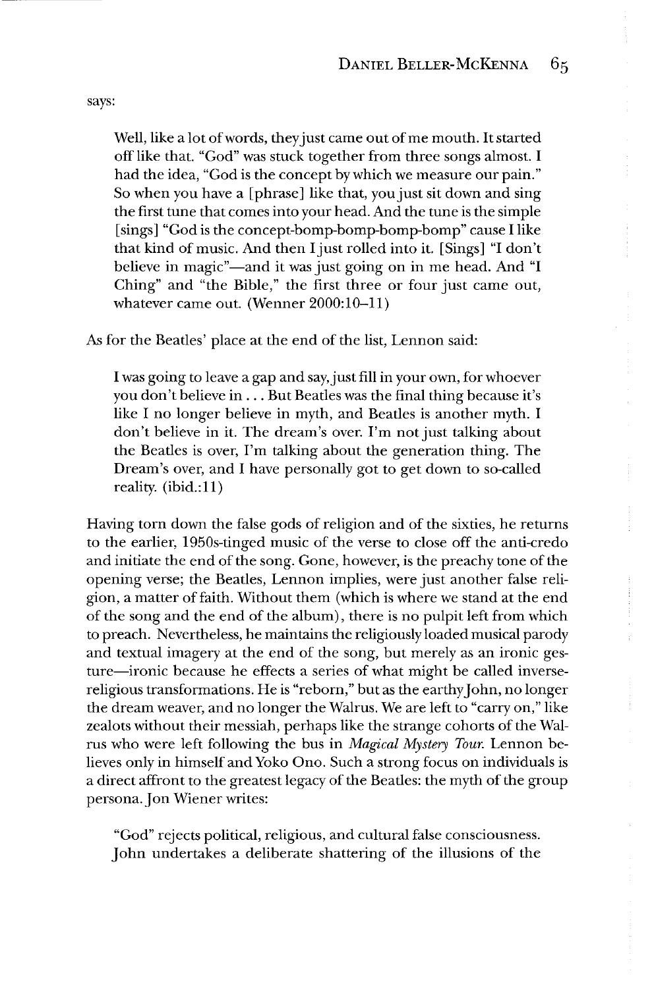says:

Well, like a lot of words, they just came out of me mouth. It started off like that. "God" was stuck together from three songs almost. 1 had the idea, "God is the concept by which we measure our pain." So when you have a [phrase] like that, you just sit down and sing the first tune that comes into your head. And the tune is the simple [sings] "God is the concept-bomp-bomp-bomp-bomp" cause 1 like that kind of music. And then I just rolled into it. [Sings] "I don't believe in magic"—and it was just going on in me head. And "I Ching" and "the Bible," the first three or four just came out, whatever came out. (Wenner 2000:10-11)

As for the Beatles' place at the end of the list, Lennon said:

1 was going to leave a gap and say, just fill in your own, for whoever you don't believe in ... But Beatles was the final thing because it's like 1 no longer believe in myth, and Beatles is another myth. 1 don't believe in it. The dream's over. I'm not just talking about the Beatles is over, I'm talking about the generation thing. The Dream's over, and 1 have personally got to get down to so-called reality. (ibid.:11)

Having torn down the false gods of religion and of the sixties, he returns to the earlier, 1950s-tinged music of the verse to close off the anti-credo and initiate the end of the song. Gone, however, is the preachy tone of the opening verse; the Beatles, Lennon implies, were just another false religion, a matter of faith. Without them (which is where we stand at the end of the song and the end of the album), there is no pulpit left from which to preach. Nevertheless, he maintains the religiously loaded musical parody and textual imagery at the end of the song, but merely as an ironic gesture—ironic because he effects a series of what might be called inversereligious transformations. He is "reborn," but as the earthy John, no longer the dream weaver, and no longer the Walrus. We are left to "carry on," like zealots without their messiah, perhaps like the strange cohorts of the Walrus who were left following the bus in *Magical Mystery Tour.* Lennon believes only in himself and Yoko Qno. Such a strong focus on individuals is a direct affront to the greatest legacy of the Beatles: the myth of the group persona. Jon Wiener writes:

"God" rejects political, religious, and cultural false consciousness. John undertakes a deliberate shattering of the illusions of the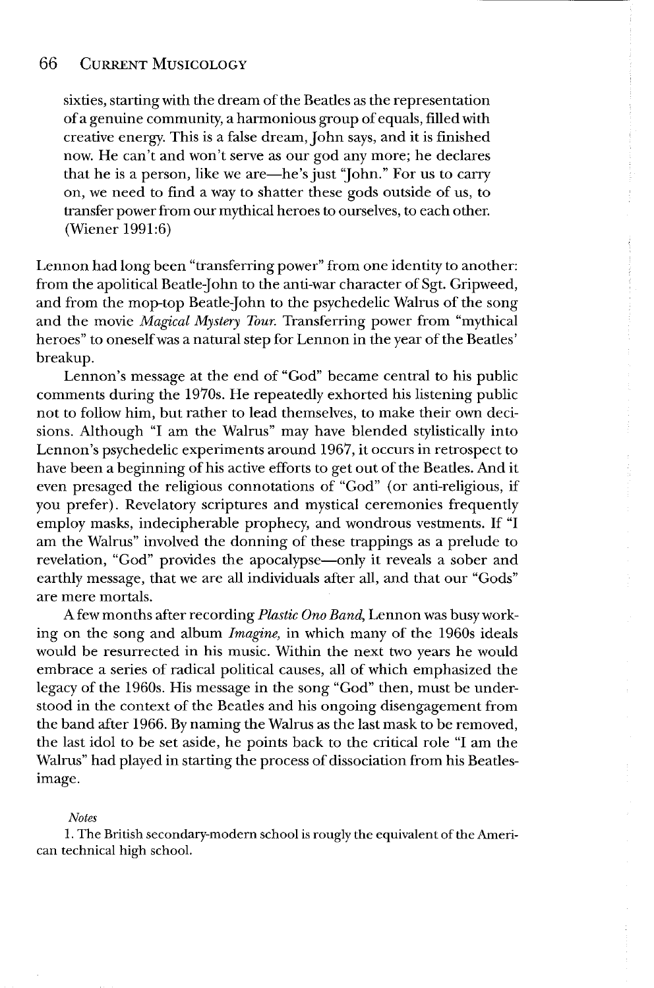## 66 CURRENT MUSICOLOGY

sixties, starting with the dream of the Beatles as the representation of a genuine community, a harmonious group of equals, filled with creative energy. This is a false dream,John says, and it is finished now. He can't and won't serve as our god any more; he declares that he is a person, like we are—he's just "John." For us to carry on, we need to find a way to shatter these gods outside of us, to transfer power from our mythical heroes to ourselves, to each other. (Wiener 1991:6)

Lennon had long been "transferring power" from one identity to another: from the apolitical Beatle-John to the anti-war character of Sgt. Gripweed, and from the mop-top Beatle-John to the psychedelic Walrus of the song and the movie *Magical Mystery Tour.* Transferring power from "mythical heroes" to oneself was a natural step for Lennon in the year of the Beatles' breakup.

Lennon's message at the end of "God" became central to his public comments during the 1970s. He repeatedly exhorted his listening public not to follow him, but rather to lead themselves, to make their own decisions. Although "I am the Walrus" may have blended stylistically into Lennon's psychedelic experiments around 1967, it occurs in retrospect to have been a beginning of his active efforts to get out of the Beatles. And it even presaged the religious connotations of "God" (or anti-religious, if you prefer). Revelatory scriptures and mystical ceremonies frequently employ masks, indecipherable prophecy, and wondrous vestments. **If** "I am the Walrus" involved the donning of these trappings as a prelude to revelation, "God" provides the apocalypse-only it reveals a sober and earthly message, that we are all individuals after all, and that our "Gods" are mere mortals.

A few months after recording *Plastic Ono Band,* Lennon was busy working on the song and album *Imagine,* in which many of the 1960s ideals would be resurrected in his music. Within the next two years he would embrace a series of radical political causes, all of which emphasized the legacy of the 1960s. His message in the song "God" then, must be understood in the context of the Beatles and his ongoing disengagement from the band after 1966. By naming the Walrus as the last mask to be removed, the last idol to be set aside, he points back to the critical role "I am the Walrus" had played in starting the process of dissociation from his Beatlesimage.

#### *Notes*

1. The British secondary-modern school is rougly the equivalent of the American technical high school.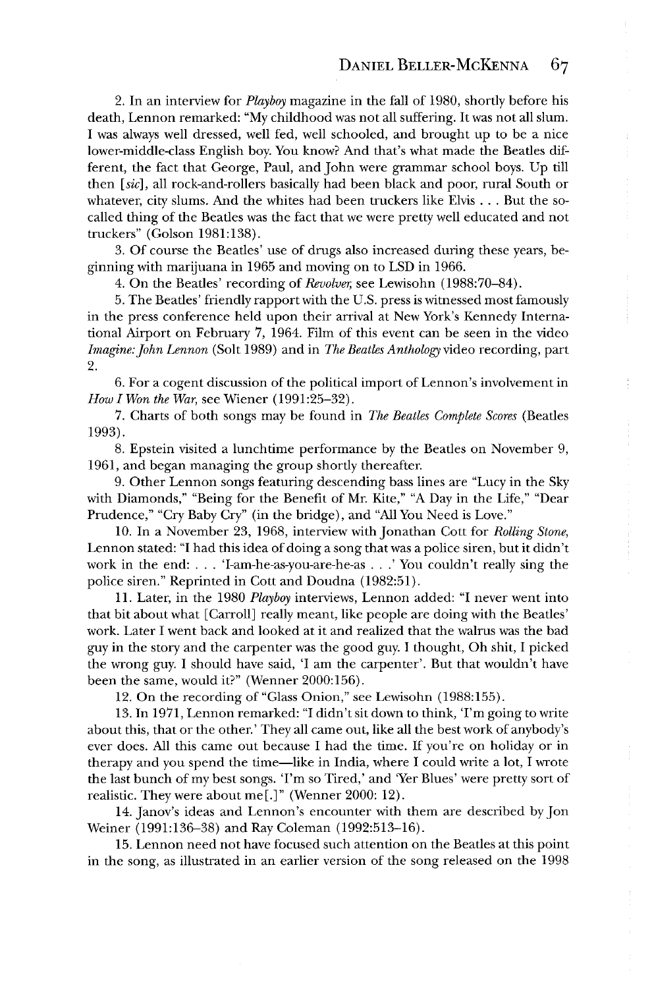2. In an interview for *Playboy* magazine in the fall of 1980, shortly before his death, Lennon remarked: "My childhood was not all suffering. It was not all slum. I was always well dressed, well fed, well schooled, and brought up to be a nice lower-middle-class English boy. You know? And that's what made the Beatles different, the fact that George, Paul, and John were grammar school boys. Up till then *[sic],* all rock-and-rollers basically had been black and poor, rural South or whatever, city slums. And the whites had been truckers like Elvis ... But the socalled thing of the Beatles was the fact that we were pretty well educated and not truckers" (Golson 1981:138).

3. Of course the Beatles' use of drugs also increased during these years, beginning with marijuana in 1965 and moving on to LSD in 1966.

4. On the Beatles' recording of *Revolver;* see Lewisohn (1988:70-84).

5. The Beatles' friendly rapport with the U.S. press is witnessed most famously in the press conference held upon their arrival at New York's Kennedy International Airport on February 7, 1964. Film of this event can be seen in the video *Imagine: John Lennon* (Solt 1989) and in *The Beatles Anthology* video recording, part 2.

6. For a cogent discussion of the political import of Lennon's involvement in *How I Won the War,* see Wiener (1991:25-32).

7. Charts of both songs may be found in *The Beatles Complete Scores* (Beatles 1993).

8. Epstein visited a lunchtime performance by the Beatles on November 9, 1961, and began managing the group shortly thereafter.

9. Other Lennon songs featuring descending bass lines are "Lucy in the Sky with Diamonds," "Being for the Benefit of Mr. Kite," "A Day in the Life," "Dear Prudence," "Cry Baby Cry" (in the bridge), and "All You Need is Love."

10. In a November 23, 1968, interview with Jonathan Cott for *Rolling Stone,*  Lennon stated: "I had this idea of doing a song that was a police siren, but it didn't work in the end: ... 'I-am-he-as-you-are-he-as ... ' You couldn't really sing the police siren." Reprinted in Cott and Doudna (1982:51).

11. Later, in the 1980 *Playboy* interviews, Lennon added: "I never went into that bit about what [Carroll] really meant, like people are doing with the Beatles' work. Later I went back and looked at it and realized that the walrus was the bad guy in the story and the carpenter was the good guy. I thought, Oh shit, I picked the wrong guy. I should have said, 'I am the carpenter'. But that wouldn't have been the same, would it?" (Wenner 2000:156).

12. On the recording of "Glass Onion," see Lewisohn (1988:155).

13. In 1971, Lennon remarked: "I didn't sit down to think, 'I'm going to write about this, that or the other.' They all came out, like all the best work of anybody's ever does. All this came out because I had the time. If you're on holiday or in therapy and you spend the time-like in India, where I could write a lot, I wrote the last bunch of my best songs. 'I'm so Tired,' and 'Yer Blues' were pretty sort of realistic. They were about me[.]" (Wenner 2000: 12).

14. Janov's ideas and Lennon's encounter with them are described by Jon Weiner (1991:136-38) and Ray Coleman (1992:513-16).

15. Lennon need not have focused such attention on the Beatles at this point in the song, as illustrated in an earlier version of the song released on the 1998